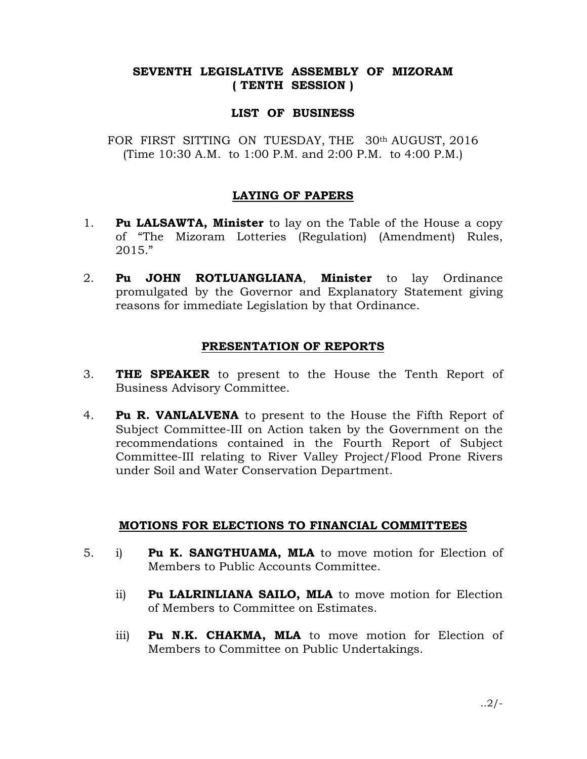## SEVENTH LEGISLATIVE ASSEMBLY OF MIZORAM ( TENTH SESSION )

### LIST OF BUSINESS

FOR FIRST SITTING ON TUESDAY, THE 30th AUGUST, 2016 (Time 10:30 A.M. to 1:00 P.M. and 2:00 P.M. to 4:00 P.M.)

# LAYING OF PAPERS

- 1. **Pu LALSAWTA, Minister** to lay on the Table of the House a copy of "The Mizoram Lotteries (Regulation) (Amendment) Rules, 2015."
- 2. Pu JOHN ROTLUANGLIANA, Minister to lay Ordinance promulgated by the Governor and Explanatory Statement giving reasons for immediate Legislation by that Ordinance.

#### PRESENTATION OF REPORTS

- 3. **THE SPEAKER** to present to the House the Tenth Report of Business Advisory Committee.
- 4. Pu R. VANLALVENA to present to the House the Fifth Report of Subject Committee-III on Action taken by the Government on the recommendations contained in the Fourth Report of Subject Committee-III relating to River Valley Project/Flood Prone Rivers under Soil and Water Conservation Department.

## MOTIONS FOR ELECTIONS TO FINANCIAL COMMITTEES

- 5. i) Pu K. SANGTHUAMA, MLA to move motion for Election of Members to Public Accounts Committee.
	- ii) Pu LALRINLIANA SAILO, MLA to move motion for Election of Members to Committee on Estimates.
	- iii) **Pu N.K. CHAKMA, MLA** to move motion for Election of Members to Committee on Public Undertakings.